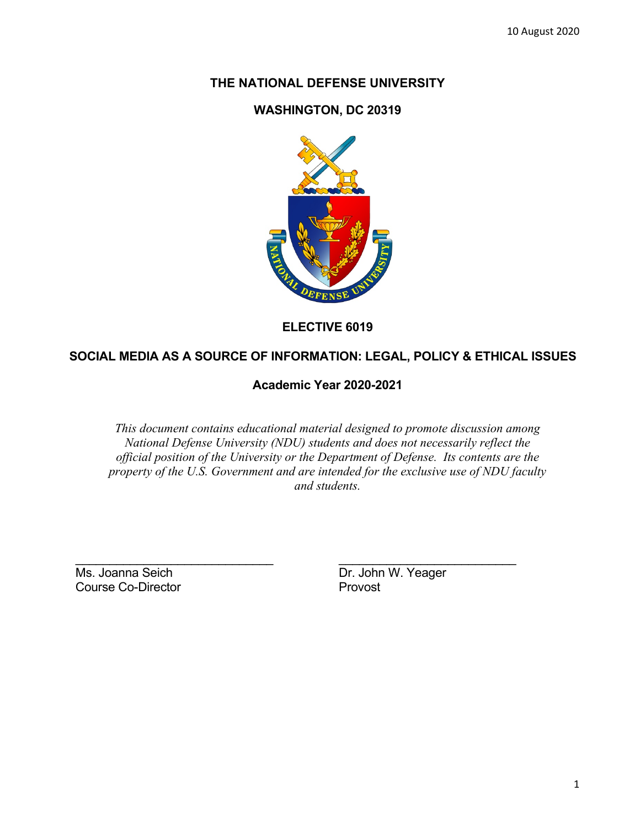# **THE NATIONAL DEFENSE UNIVERSITY**

### **WASHINGTON, DC 20319**



**ELECTIVE 6019**

## **SOCIAL MEDIA AS A SOURCE OF INFORMATION: LEGAL, POLICY & ETHICAL ISSUES**

**Academic Year 2020-2021**

*This document contains educational material designed to promote discussion among National Defense University (NDU) students and does not necessarily reflect the official position of the University or the Department of Defense. Its contents are the property of the U.S. Government and are intended for the exclusive use of NDU faculty and students.*

\_\_\_\_\_\_\_\_\_\_\_\_\_\_\_\_\_\_\_\_\_\_\_\_\_\_\_\_\_ \_\_\_\_\_\_\_\_\_\_\_\_\_\_\_\_\_\_\_\_\_\_\_\_\_\_ Ms. Joanna Seich **Dr. John W. Yeager** Course Co-Director **Provost**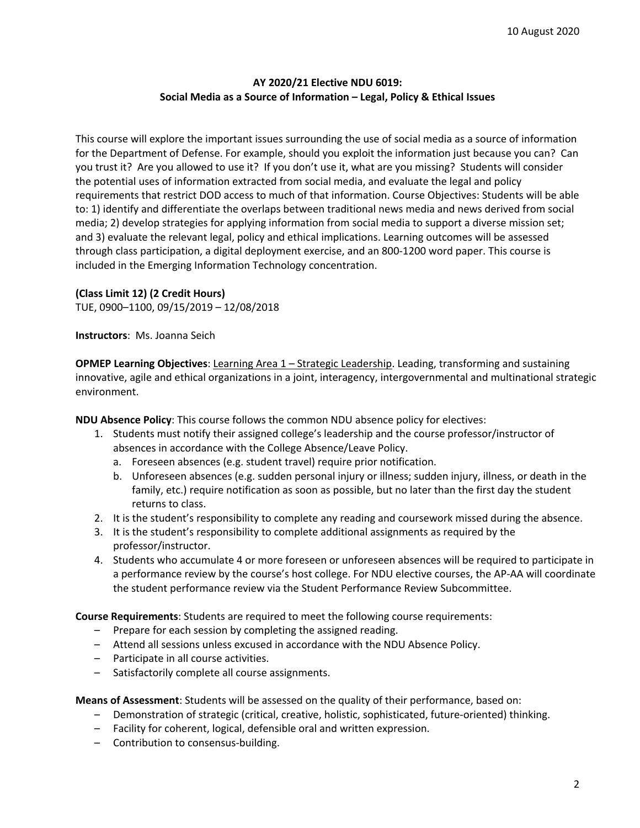#### **AY 2020/21 Elective NDU 6019: Social Media as a Source of Information – Legal, Policy & Ethical Issues**

This course will explore the important issues surrounding the use of social media as a source of information for the Department of Defense. For example, should you exploit the information just because you can? Can you trust it? Are you allowed to use it? If you don't use it, what are you missing? Students will consider the potential uses of information extracted from social media, and evaluate the legal and policy requirements that restrict DOD access to much of that information. Course Objectives: Students will be able to: 1) identify and differentiate the overlaps between traditional news media and news derived from social media; 2) develop strategies for applying information from social media to support a diverse mission set; and 3) evaluate the relevant legal, policy and ethical implications. Learning outcomes will be assessed through class participation, a digital deployment exercise, and an 800-1200 word paper. This course is included in the Emerging Information Technology concentration.

#### **(Class Limit 12) (2 Credit Hours)**

TUE, 0900–1100, 09/15/2019 – 12/08/2018

**Instructors**: Ms. Joanna Seich

**OPMEP Learning Objectives**: Learning Area 1 – Strategic Leadership. Leading, transforming and sustaining innovative, agile and ethical organizations in a joint, interagency, intergovernmental and multinational strategic environment.

**NDU Absence Policy**: This course follows the common NDU absence policy for electives:

- 1. Students must notify their assigned college's leadership and the course professor/instructor of absences in accordance with the College Absence/Leave Policy.
	- a. Foreseen absences (e.g. student travel) require prior notification.
	- b. Unforeseen absences (e.g. sudden personal injury or illness; sudden injury, illness, or death in the family, etc.) require notification as soon as possible, but no later than the first day the student returns to class.
- 2. It is the student's responsibility to complete any reading and coursework missed during the absence.
- 3. It is the student's responsibility to complete additional assignments as required by the professor/instructor.
- 4. Students who accumulate 4 or more foreseen or unforeseen absences will be required to participate in a performance review by the course's host college. For NDU elective courses, the AP-AA will coordinate the student performance review via the Student Performance Review Subcommittee.

**Course Requirements**: Students are required to meet the following course requirements:

- Prepare for each session by completing the assigned reading.
- Attend all sessions unless excused in accordance with the NDU Absence Policy.
- Participate in all course activities.
- Satisfactorily complete all course assignments.

**Means of Assessment**: Students will be assessed on the quality of their performance, based on:

- Demonstration of strategic (critical, creative, holistic, sophisticated, future-oriented) thinking.
- Facility for coherent, logical, defensible oral and written expression.
- Contribution to consensus-building.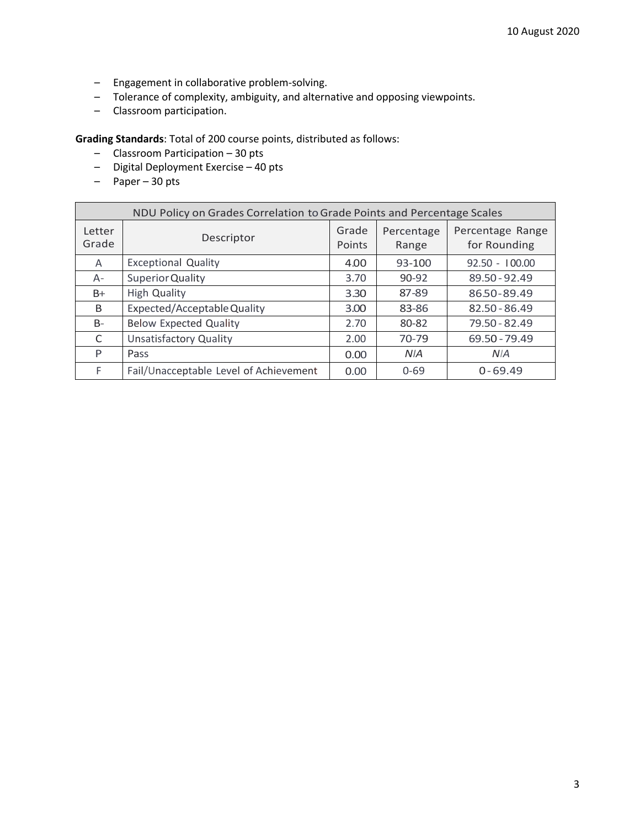- Engagement in collaborative problem-solving.
- Tolerance of complexity, ambiguity, and alternative and opposing viewpoints.
- Classroom participation.

**Grading Standards**: Total of 200 course points, distributed as follows:

- Classroom Participation 30 pts
- Digital Deployment Exercise 40 pts
- Paper 30 pts

| NDU Policy on Grades Correlation to Grade Points and Percentage Scales |                                        |                 |                     |                                  |  |  |
|------------------------------------------------------------------------|----------------------------------------|-----------------|---------------------|----------------------------------|--|--|
| Letter<br>Grade                                                        | Descriptor                             | Grade<br>Points | Percentage<br>Range | Percentage Range<br>for Rounding |  |  |
| A                                                                      | <b>Exceptional Quality</b>             | 4.00            | 93-100              | $92.50 - 100.00$                 |  |  |
| $A -$                                                                  | Superior Quality                       | 3.70            | $90 - 92$           | 89.50 - 92.49                    |  |  |
| $B+$                                                                   | <b>High Quality</b>                    | 3.30            | 87-89               | 86.50-89.49                      |  |  |
| B                                                                      | Expected/Acceptable Quality            | 3.00            | 83-86               | 82.50 - 86.49                    |  |  |
| $B-$                                                                   | <b>Below Expected Quality</b>          | 2.70            | 80-82               | 79.50 - 82.49                    |  |  |
| C                                                                      | <b>Unsatisfactory Quality</b>          | 2.00            | $70-79$             | 69.50 - 79.49                    |  |  |
| P                                                                      | Pass                                   | 0.00            | <b>NIA</b>          | N <sub>IA</sub>                  |  |  |
| F.                                                                     | Fail/Unacceptable Level of Achievement | 0.00            | $0 - 69$            | $0 - 69.49$                      |  |  |